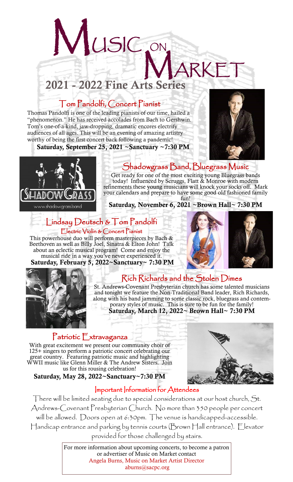# IRKE<sup>-</sup> 2021 - 2022 Fine Arts Series

## Tom Pandolfi, Concert Pianist

MUSIC ON

Thomas Pandolfi is one of the leading pianists of our time, hailed a "phenomenon." He has received accolades from Bach to Gershwin. Tom's one-of-a-kind, jaw-dropping, dramatic encores electrify audiences of all ages. This will be an evening of amazing artistry worthy of being the first concert back following a pandemic!

Saturday, September 25, 2021 ~Sanctuary ~7:30 PM



# Shadowgrass Band, Bluegrass Music

Get ready for one of the most exciting young Bluegrass bands today! Influenced by Scruggs, Flatt & Monroe with modern refinements these young musicians will knock your socks off. Mark your calendars and prepare to have some good old fashioned family fun!

#### Saturday, November 6, 2021 ~Brown Hall~ 7:30 PM

#### Lindsay Deutsch & Tom Pandolfi Electric Violin & Concert Pianist

This powerhouse duo will perform masterpieces by Bach & Beethoven as well as Billy Joel, Sinatra & Elton John! Talk about an eclectic musical program! Come and enjoy the musical ride in a way you've never experienced it. Saturday, February 5, 2022~Sanctuary~ 7:30 PM





### Rich Richards and the Stolen Dimes

St. Andrews-Covenant Presbyterian church has some talented musicians and tonight we feature the Non-Traditional Band leader, Rich Richards, along with his band jamming to some classic rock, bluegrass and contemporary styles of music. This is sure to be fun for the family!

Saturday, March 12, 2022~ Brown Hall~ 7:30 PM

#### Patriotic Extravaganza

With great excitement we present our community choir of 125+ singers to perform a patriotic concert celebrating our great country. Featuring patriotic music and highlighting WWII music like Glenn Miller & The Andrew Sisters. Join us for this rousing celebration!

Saturday, May 28, 2022~Sanctuary~7:30 PM



#### Important Information for Attendees

There will be limited seating due to special considerations at our host church, St. Andrews-Covenant Presbyterian Church. No more than 350 people per concert will be allowed. Doors open at 6:30pm. The venue is handicapped-accessible. Handicap entrance and parking by tennis courts (Brown Hall entrance). Elevator provided for those challenged by stairs.

> For more information about upcoming concerts, to become a patron or advertiser of Music on Market contact Angela Burns, Music on Market Artist Director aburns@sacpc.org